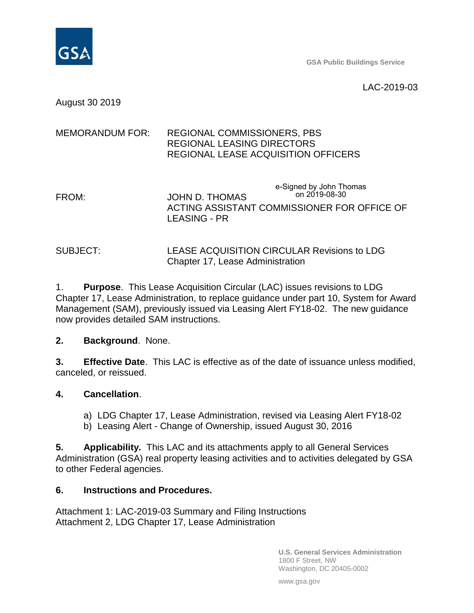

**GSA Public Buildings Service**

LAC-2019-03

August 30 2019

# MEMORANDUM FOR: REGIONAL COMMISSIONERS, PBS REGIONAL LEASING DIRECTORS REGIONAL LEASE ACQUISITION OFFICERS FROM: JOHN D. THOMAS ACTING ASSISTANT COMMISSIONER FOR OFFICE OF e-Signed by John Thomas on 2019-08-30

#### SUBJECT: LEASE ACQUISITION CIRCULAR Revisions to LDG Chapter 17, Lease Administration

LEASING - PR

1. **Purpose**. This Lease Acquisition Circular (LAC) issues revisions to LDG Chapter 17, Lease Administration, to replace guidance under part 10, System for Award Management (SAM), previously issued via Leasing Alert FY18-02. The new guidance now provides detailed SAM instructions.

### **2. Background**. None.

**3. Effective Date**. This LAC is effective as of the date of issuance unless modified, canceled, or reissued.

### **4. Cancellation**.

- a) LDG Chapter 17, Lease Administration, revised via Leasing Alert FY18-02
- b) Leasing Alert Change of Ownership, issued August 30, 2016

**5. Applicability.** This LAC and its attachments apply to all General Services Administration (GSA) real property leasing activities and to activities delegated by GSA to other Federal agencies.

#### **6. Instructions and Procedures.**

Attachment 1: LAC-2019-03 Summary and Filing Instructions Attachment 2, LDG Chapter 17, Lease Administration

> **U.S. General Services Administration** 1800 F Street, NW Washington, DC 20405-0002

www.gsa.gov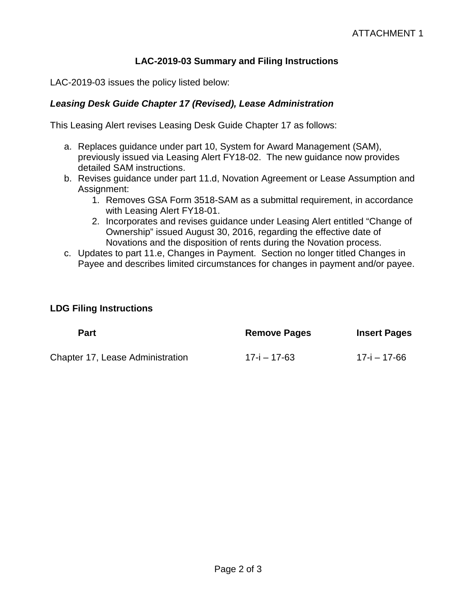## **LAC-2019-03 Summary and Filing Instructions**

LAC-2019-03 issues the policy listed below:

## *Leasing Desk Guide Chapter 17 (Revised), Lease Administration*

This Leasing Alert revises Leasing Desk Guide Chapter 17 as follows:

- a. Replaces guidance under part 10, System for Award Management (SAM), previously issued via Leasing Alert FY18-02. The new guidance now provides detailed SAM instructions.
- b. Revises guidance under part 11.d, Novation Agreement or Lease Assumption and Assignment:
	- 1. Removes GSA Form 3518-SAM as a submittal requirement, in accordance with Leasing Alert FY18-01.
	- 2. Incorporates and revises guidance under Leasing Alert entitled "Change of Ownership" issued August 30, 2016, regarding the effective date of Novations and the disposition of rents during the Novation process.
- c. Updates to part 11.e, Changes in Payment. Section no longer titled Changes in Payee and describes limited circumstances for changes in payment and/or payee.

#### **LDG Filing Instructions**

| <b>Part</b>                      | <b>Remove Pages</b> | <b>Insert Pages</b> |
|----------------------------------|---------------------|---------------------|
| Chapter 17, Lease Administration | 17-i – 17-63        | 17-i – 17-66        |